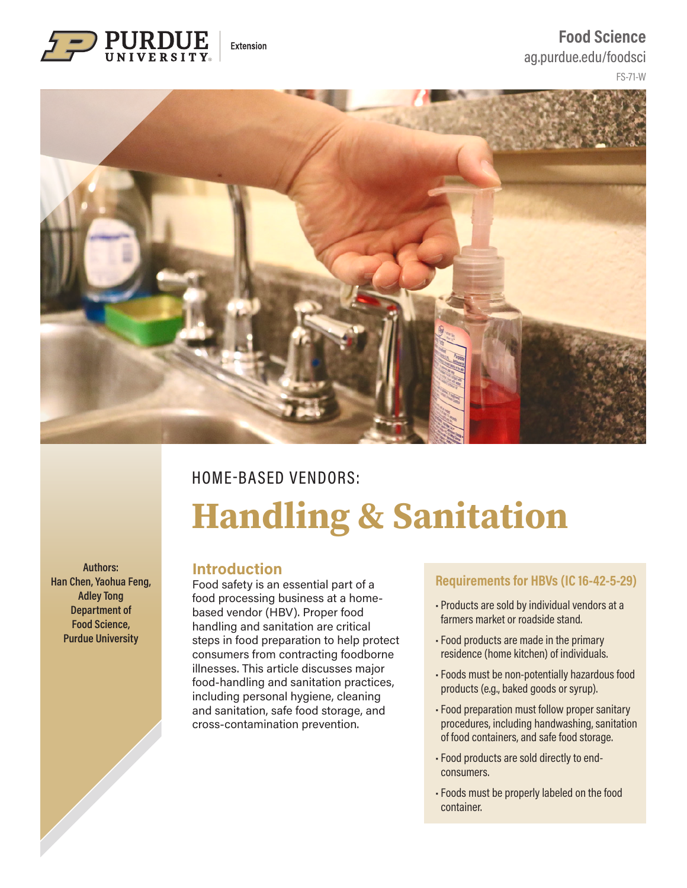

### FS-71-W **[Food Science](https://ag.purdue.edu/foodsci/Pages/default.aspx)** [ag.purdue.edu/foodsci](https://ag.purdue.edu/foodsci/Pages/default.aspx)



# HOME-BASED VENDORS: **Handling & Sanitation**

**Authors: Han Chen, Yaohua Feng, Adley Tong Department of Food Science, Purdue University** 

#### **Introduction**

Food safety is an essential part of a food processing business at a homebased vendor (HBV). Proper food handling and sanitation are critical steps in food preparation to help protect consumers from contracting foodborne illnesses. This article discusses major food-handling and sanitation practices, including personal hygiene, cleaning and sanitation, safe food storage, and cross-contamination prevention.

#### **Requirements for HBVs (IC 16-42-5-29)**

- Products are sold by individual vendors at a farmers market or roadside stand.
- Food products are made in the primary residence (home kitchen) of individuals.
- Foods must be non-potentially hazardous food products (e.g., baked goods or syrup).
- Food preparation must follow proper sanitary procedures, including handwashing, sanitation of food containers, and safe food storage.
- Food products are sold directly to endconsumers.
- Foods must be properly labeled on the food container.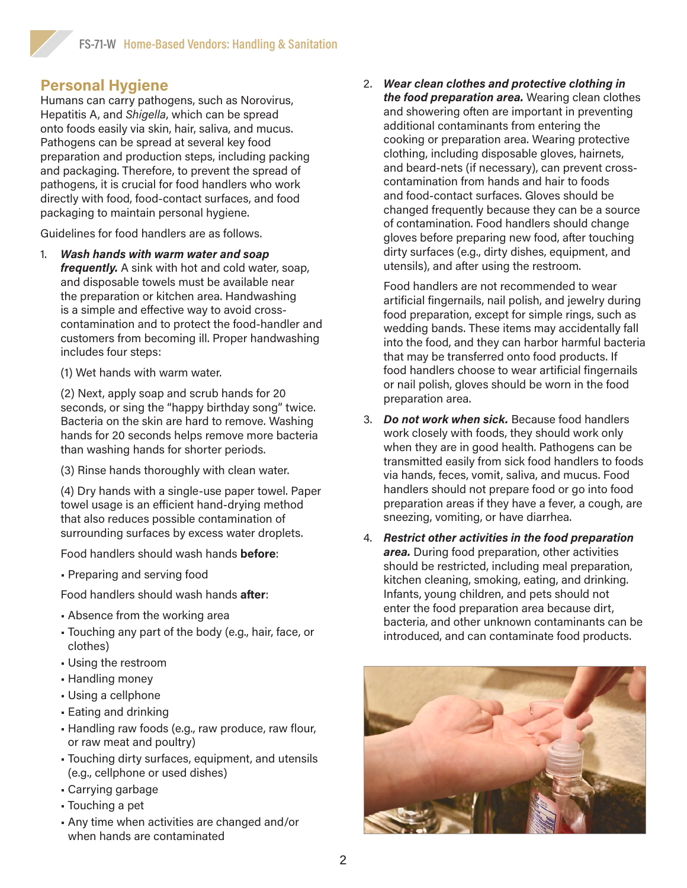## **Personal Hygiene**

Humans can carry pathogens, such as Norovirus, Hepatitis A, and *Shigella*, which can be spread onto foods easily via skin, hair, saliva, and mucus. Pathogens can be spread at several key food preparation and production steps, including packing and packaging. Therefore, to prevent the spread of pathogens, it is crucial for food handlers who work directly with food, food-contact surfaces, and food packaging to maintain personal hygiene.

Guidelines for food handlers are as follows.

- 1. *Wash hands with warm water and soap frequently.* A sink with hot and cold water, soap, and disposable towels must be available near the preparation or kitchen area. Handwashing is a simple and effective way to avoid crosscontamination and to protect the food-handler and customers from becoming ill. Proper handwashing includes four steps:
	- (1) Wet hands with warm water.

(2) Next, apply soap and scrub hands for 20 seconds, or sing the "happy birthday song" twice. Bacteria on the skin are hard to remove. Washing hands for 20 seconds helps remove more bacteria than washing hands for shorter periods.

(3) Rinse hands thoroughly with clean water.

(4) Dry hands with a single-use paper towel. Paper towel usage is an efficient hand-drying method that also reduces possible contamination of surrounding surfaces by excess water droplets.

Food handlers should wash hands **before**:

• Preparing and serving food

Food handlers should wash hands **after**:

- Absence from the working area
- Touching any part of the body (e.g., hair, face, or clothes)
- Using the restroom
- Handling money
- Using a cellphone
- Eating and drinking
- Handling raw foods (e.g., raw produce, raw flour, or raw meat and poultry)
- Touching dirty surfaces, equipment, and utensils (e.g., cellphone or used dishes)
- Carrying garbage
- Touching a pet
- Any time when activities are changed and/or when hands are contaminated

2. *Wear clean clothes and protective clothing in the food preparation area.* Wearing clean clothes and showering often are important in preventing additional contaminants from entering the cooking or preparation area. Wearing protective clothing, including disposable gloves, hairnets, and beard-nets (if necessary), can prevent crosscontamination from hands and hair to foods and food-contact surfaces. Gloves should be changed frequently because they can be a source of contamination. Food handlers should change gloves before preparing new food, after touching dirty surfaces (e.g., dirty dishes, equipment, and utensils), and after using the restroom.

Food handlers are not recommended to wear artificial fingernails, nail polish, and jewelry during food preparation, except for simple rings, such as wedding bands. These items may accidentally fall into the food, and they can harbor harmful bacteria that may be transferred onto food products. If food handlers choose to wear artificial fingernails or nail polish, gloves should be worn in the food preparation area.

- 3. *Do not work when sick.* Because food handlers work closely with foods, they should work only when they are in good health. Pathogens can be transmitted easily from sick food handlers to foods via hands, feces, vomit, saliva, and mucus. Food handlers should not prepare food or go into food preparation areas if they have a fever, a cough, are sneezing, vomiting, or have diarrhea.
- 4. *Restrict other activities in the food preparation area.* During food preparation, other activities should be restricted, including meal preparation, kitchen cleaning, smoking, eating, and drinking. Infants, young children, and pets should not enter the food preparation area because dirt, bacteria, and other unknown contaminants can be introduced, and can contaminate food products.

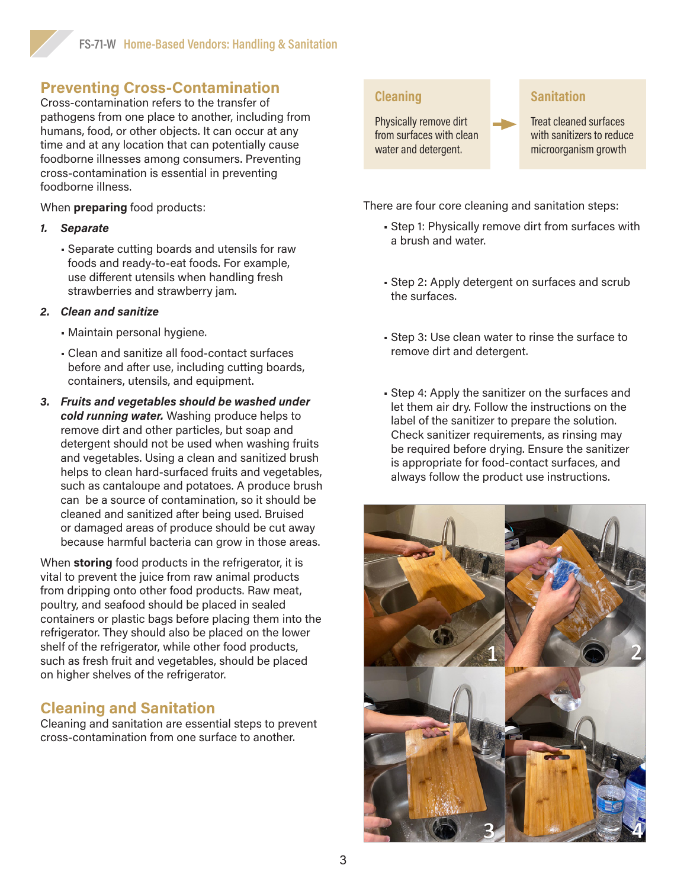# **Preventing Cross-Contamination**

Cross-contamination refers to the transfer of pathogens from one place to another, including from humans, food, or other objects. It can occur at any time and at any location that can potentially cause foodborne illnesses among consumers. Preventing cross-contamination is essential in preventing foodborne illness.

When **preparing** food products:

#### *1. Separate*

• Separate cutting boards and utensils for raw foods and ready-to-eat foods. For example, use different utensils when handling fresh strawberries and strawberry jam.

#### *2. Clean and sanitize*

- Maintain personal hygiene.
- Clean and sanitize all food-contact surfaces before and after use, including cutting boards, containers, utensils, and equipment.
- *3. Fruits and vegetables should be washed under cold running water.* Washing produce helps to remove dirt and other particles, but soap and detergent should not be used when washing fruits and vegetables. Using a clean and sanitized brush helps to clean hard-surfaced fruits and vegetables, such as cantaloupe and potatoes. A produce brush can be a source of contamination, so it should be cleaned and sanitized after being used. Bruised or damaged areas of produce should be cut away because harmful bacteria can grow in those areas.

When **storing** food products in the refrigerator, it is vital to prevent the juice from raw animal products from dripping onto other food products. Raw meat, poultry, and seafood should be placed in sealed containers or plastic bags before placing them into the refrigerator. They should also be placed on the lower shelf of the refrigerator, while other food products, such as fresh fruit and vegetables, should be placed on higher shelves of the refrigerator.

# **Cleaning and Sanitation**

Cleaning and sanitation are essential steps to prevent cross-contamination from one surface to another.

#### **Cleaning**

Physically remove dirt from surfaces with clean water and detergent.

#### **Sanitation**

Treat cleaned surfaces with sanitizers to reduce microorganism growth

There are four core cleaning and sanitation steps:

- Step 1: Physically remove dirt from surfaces with a brush and water.
- Step 2: Apply detergent on surfaces and scrub the surfaces.
- Step 3: Use clean water to rinse the surface to remove dirt and detergent.
- Step 4: Apply the sanitizer on the surfaces and let them air dry. Follow the instructions on the label of the sanitizer to prepare the solution. Check sanitizer requirements, as rinsing may be required before drying. Ensure the sanitizer is appropriate for food-contact surfaces, and always follow the product use instructions.

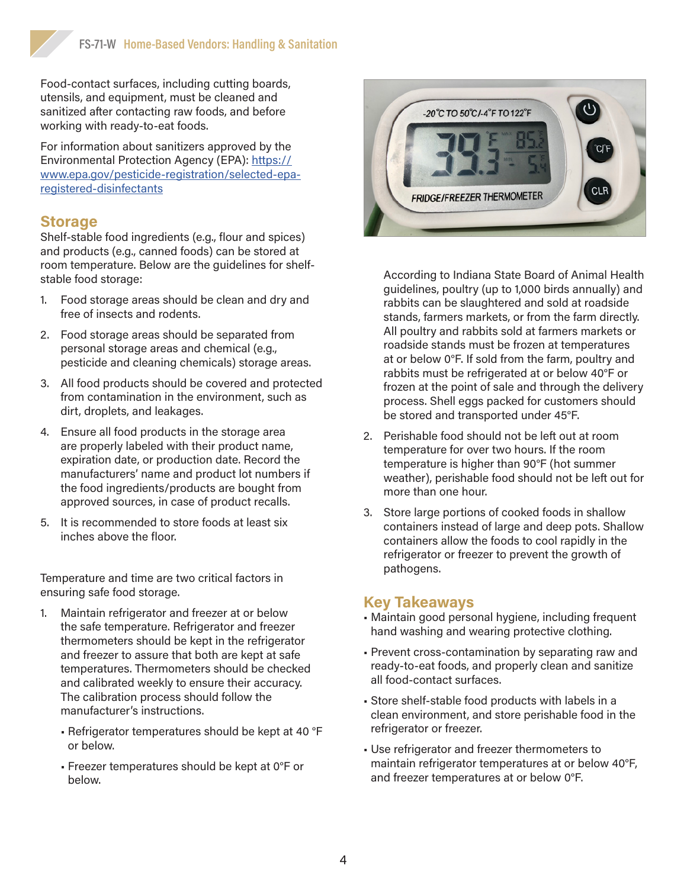Food-contact surfaces, including cutting boards, utensils, and equipment, must be cleaned and sanitized after contacting raw foods, and before working with ready-to-eat foods.

For information about sanitizers approved by the Environmental Protection Agency (EPA): [https://](https://www.epa.gov/pesticide-registration/selected-epa-registered-disinfectants) [www.epa.gov/pesticide-registration/selected-epa](https://www.epa.gov/pesticide-registration/selected-epa-registered-disinfectants)[registered-disinfectants](https://www.epa.gov/pesticide-registration/selected-epa-registered-disinfectants)

#### **Storage**

Shelf-stable food ingredients (e.g., flour and spices) and products (e.g., canned foods) can be stored at room temperature. Below are the guidelines for shelfstable food storage:

- 1. Food storage areas should be clean and dry and free of insects and rodents.
- 2. Food storage areas should be separated from personal storage areas and chemical (e.g., pesticide and cleaning chemicals) storage areas.
- 3. All food products should be covered and protected from contamination in the environment, such as dirt, droplets, and leakages.
- 4. Ensure all food products in the storage area are properly labeled with their product name, expiration date, or production date. Record the manufacturers' name and product lot numbers if the food ingredients/products are bought from approved sources, in case of product recalls.
- 5. It is recommended to store foods at least six inches above the floor.

Temperature and time are two critical factors in ensuring safe food storage.

- 1. Maintain refrigerator and freezer at or below the safe temperature. Refrigerator and freezer thermometers should be kept in the refrigerator and freezer to assure that both are kept at safe temperatures. Thermometers should be checked and calibrated weekly to ensure their accuracy. The calibration process should follow the manufacturer's instructions.
	- Refrigerator temperatures should be kept at 40 °F or below.
	- Freezer temperatures should be kept at 0°F or below.



According to Indiana State Board of Animal Health guidelines, poultry (up to 1,000 birds annually) and rabbits can be slaughtered and sold at roadside stands, farmers markets, or from the farm directly. All poultry and rabbits sold at farmers markets or roadside stands must be frozen at temperatures at or below 0°F. If sold from the farm, poultry and rabbits must be refrigerated at or below 40°F or frozen at the point of sale and through the delivery process. Shell eggs packed for customers should be stored and transported under 45°F.

- 2. Perishable food should not be left out at room temperature for over two hours. If the room temperature is higher than 90°F (hot summer weather), perishable food should not be left out for more than one hour.
- 3. Store large portions of cooked foods in shallow containers instead of large and deep pots. Shallow containers allow the foods to cool rapidly in the refrigerator or freezer to prevent the growth of pathogens.

#### **Key Takeaways**

- Maintain good personal hygiene, including frequent hand washing and wearing protective clothing.
- Prevent cross-contamination by separating raw and ready-to-eat foods, and properly clean and sanitize all food-contact surfaces.
- Store shelf-stable food products with labels in a clean environment, and store perishable food in the refrigerator or freezer.
- Use refrigerator and freezer thermometers to maintain refrigerator temperatures at or below 40°F, and freezer temperatures at or below 0°F.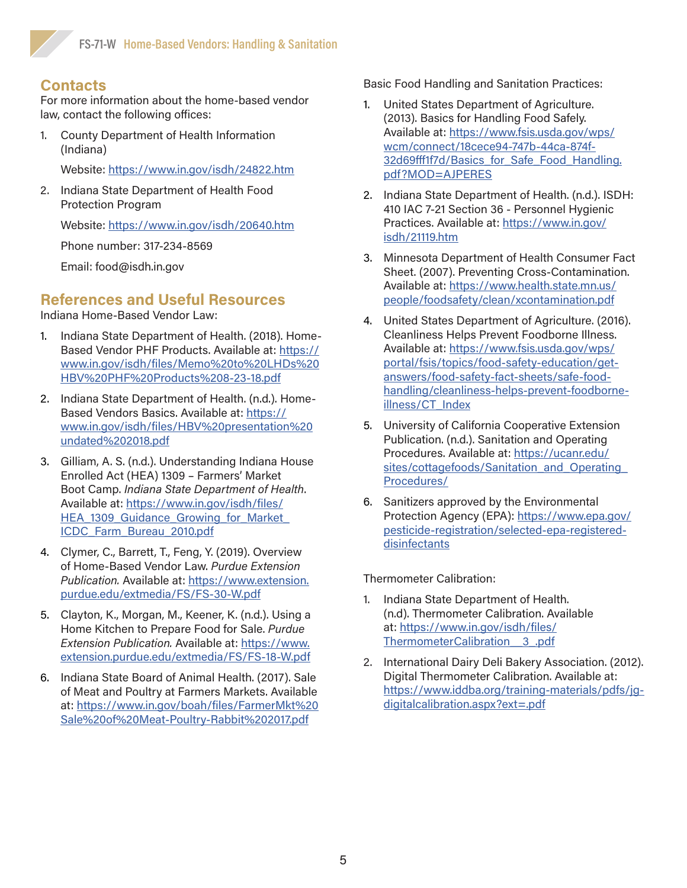## **Contacts**

For more information about the home-based vendor law, contact the following offices:

1. County Department of Health Information (Indiana)

Website: <https://www.in.gov/isdh/24822.htm>

2. Indiana State Department of Health Food Protection Program

Website: <https://www.in.gov/isdh/20640.htm>

Phone number: 317-234-8569

Email: [food@isdh.in.gov](mailto:food@isdh.in.gov)

## **References and Useful Resources**

Indiana Home-Based Vendor Law:

- 1. Indiana State Department of Health. (2018). Home-Based Vendor PHF Products. Available at: [https://](https://www.in.gov/isdh/files/Memo%20to%20LHDs%20HBV%20PHF%20Products%208-23-18.pdf) [www.in.gov/isdh/files/Memo%20to%20LHDs%20](https://www.in.gov/isdh/files/Memo%20to%20LHDs%20HBV%20PHF%20Products%208-23-18.pdf) [HBV%20PHF%20Products%208-23-18.pdf](https://www.in.gov/isdh/files/Memo%20to%20LHDs%20HBV%20PHF%20Products%208-23-18.pdf)
- 2. Indiana State Department of Health. (n.d.). Home-Based Vendors Basics. Available at: [https://](https://www.in.gov/isdh/files/HBV%20presentation%20undated%202018.pdf) [www.in.gov/isdh/files/HBV%20presentation%20](https://www.in.gov/isdh/files/HBV%20presentation%20undated%202018.pdf) [undated%202018.pdf](https://www.in.gov/isdh/files/HBV%20presentation%20undated%202018.pdf)
- 3. Gilliam, A. S. (n.d.). Understanding Indiana House Enrolled Act (HEA) 1309 – Farmers' Market Boot Camp. *Indiana State Department of Health*. Available at: [https://www.in.gov/isdh/files/](https://www.in.gov/isdh/files/HEA_1309_Guidance_Growing_for_Market_ICDC_Farm_Bureau_2010.pdf) HEA 1309 Guidance Growing for Market [ICDC\\_Farm\\_Bureau\\_2010.pdf](https://www.in.gov/isdh/files/HEA_1309_Guidance_Growing_for_Market_ICDC_Farm_Bureau_2010.pdf)
- 4. Clymer, C., Barrett, T., Feng, Y. (2019). Overview of Home-Based Vendor Law. *Purdue Extension Publication.* Available at: [https://www.extension.](https://www.extension.purdue.edu/extmedia/FS/FS-30-W.pdf) [purdue.edu/extmedia/FS/FS-30-W.pdf](https://www.extension.purdue.edu/extmedia/FS/FS-30-W.pdf)
- 5. Clayton, K., Morgan, M., Keener, K. (n.d.). Using a Home Kitchen to Prepare Food for Sale. *Purdue Extension Publication.* Available at: [https://www.](https://www.extension.purdue.edu/extmedia/FS/FS-18-W.pdf) [extension.purdue.edu/extmedia/FS/FS-18-W.pdf](https://www.extension.purdue.edu/extmedia/FS/FS-18-W.pdf)
- 6. Indiana State Board of Animal Health. (2017). Sale of Meat and Poultry at Farmers Markets. Available at: [https://www.in.gov/boah/files/FarmerMkt%20](https://www.in.gov/boah/files/FarmerMkt%20Sale%20of%20Meat-Poultry-Rabbit%202017.pdf) [Sale%20of%20Meat-Poultry-Rabbit%202017.pdf](https://www.in.gov/boah/files/FarmerMkt%20Sale%20of%20Meat-Poultry-Rabbit%202017.pdf)

Basic Food Handling and Sanitation Practices:

- 1. United States Department of Agriculture. (2013). Basics for Handling Food Safely. Available at: [https://www.fsis.usda.gov/wps/](https://www.fsis.usda.gov/wps/wcm/connect/18cece94-747b-44ca-874f-32d69fff1f7d/Basics_for_Safe_Food_Handling.pdf?MOD=AJPERES) [wcm/connect/18cece94-747b-44ca-874f-](https://www.fsis.usda.gov/wps/wcm/connect/18cece94-747b-44ca-874f-32d69fff1f7d/Basics_for_Safe_Food_Handling.pdf?MOD=AJPERES)[32d69fff1f7d/Basics\\_for\\_Safe\\_Food\\_Handling.](https://www.fsis.usda.gov/wps/wcm/connect/18cece94-747b-44ca-874f-32d69fff1f7d/Basics_for_Safe_Food_Handling.pdf?MOD=AJPERES) [pdf?MOD=AJPERES](https://www.fsis.usda.gov/wps/wcm/connect/18cece94-747b-44ca-874f-32d69fff1f7d/Basics_for_Safe_Food_Handling.pdf?MOD=AJPERES)
- 2. Indiana State Department of Health. (n.d.). ISDH: 410 IAC 7-21 Section 36 - Personnel Hygienic Practices. Available at: [https://www.in.gov/](https://www.in.gov/isdh/21119.htm) [isdh/21119.htm](https://www.in.gov/isdh/21119.htm)
- 3. Minnesota Department of Health Consumer Fact Sheet. (2007). Preventing Cross-Contamination. Available at: [https://www.health.state.mn.us/](https://www.health.state.mn.us/people/foodsafety/clean/xcontamination.pdf) [people/foodsafety/clean/xcontamination.pdf](https://www.health.state.mn.us/people/foodsafety/clean/xcontamination.pdf)
- 4. United States Department of Agriculture. (2016). Cleanliness Helps Prevent Foodborne Illness. Available at: https://www.fsis.usda.gov/wps/ portal/fsis/topics/food-safety-education/getanswers/food-safety-fact-sheets/safe-foodhandling/cleanliness-helps-prevent-foodborneillness/CT\_Index
- 5. University of California Cooperative Extension Publication. (n.d.). Sanitation and Operating Procedures. Available at: [https://ucanr.edu/](https://ucanr.edu/sites/cottagefoods/Sanitation_and_Operating_Procedures/) sites/cottagefoods/Sanitation\_and\_Operating [Procedures/](https://ucanr.edu/sites/cottagefoods/Sanitation_and_Operating_Procedures/)
- 6. Sanitizers approved by the Environmental Protection Agency (EPA): [https://www.epa.gov/](https://www.epa.gov/pesticide-registration/selected-epa-registered-disinfectants) [pesticide-registration/selected-epa-registered](https://www.epa.gov/pesticide-registration/selected-epa-registered-disinfectants)[disinfectants](https://www.epa.gov/pesticide-registration/selected-epa-registered-disinfectants)

Thermometer Calibration:

- 1. Indiana State Department of Health. (n.d). Thermometer Calibration. Available at: [https://www.in.gov/isdh/files/](https://www.in.gov/isdh/files/ThermometerCalibration__3_.pdf) [ThermometerCalibration\\_\\_3\\_.pdf](https://www.in.gov/isdh/files/ThermometerCalibration__3_.pdf)
- 2. International Dairy Deli Bakery Association. (2012). Digital Thermometer Calibration. Available at: [https://www.iddba.org/training-materials/pdfs/jg](https://www.iddba.org/training-materials/pdfs/jg-digitalcalibration.aspx?ext=.pdf)[digitalcalibration.aspx?ext=.pdf](https://www.iddba.org/training-materials/pdfs/jg-digitalcalibration.aspx?ext=.pdf)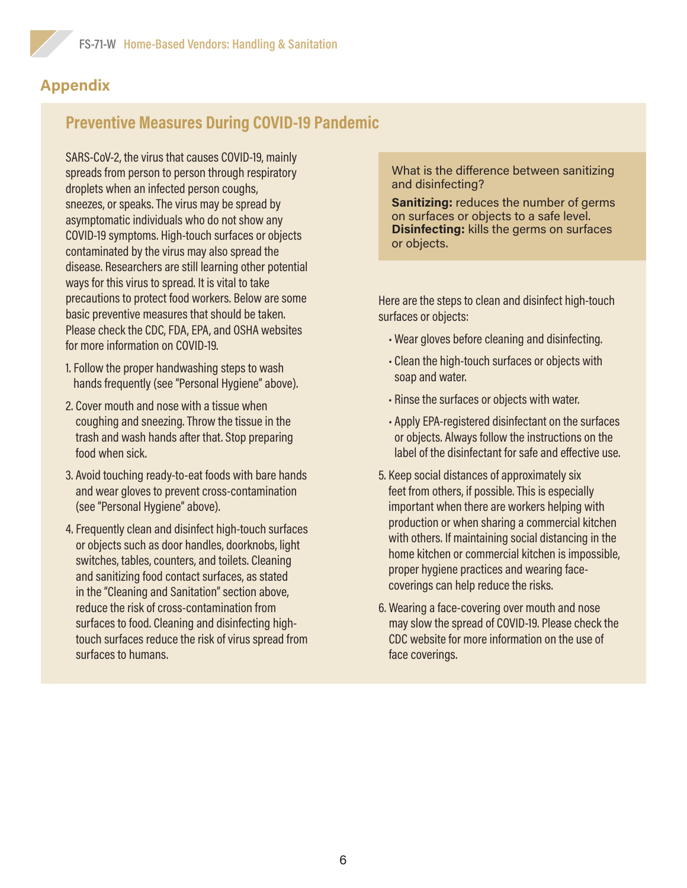# **Appendix**

# **Preventive Measures During COVID-19 Pandemic**

SARS-CoV-2, the virus that causes COVID-19, mainly spreads from person to person through respiratory droplets when an infected person coughs, sneezes, or speaks. The virus may be spread by asymptomatic individuals who do not show any COVID-19 symptoms. High-touch surfaces or objects contaminated by the virus may also spread the disease. Researchers are still learning other potential ways for this virus to spread. It is vital to take precautions to protect food workers. Below are some basic preventive measures that should be taken. Please check the CDC, FDA, EPA, and OSHA websites for more information on COVID-19.

- 1. Follow the proper handwashing steps to wash hands frequently (see "Personal Hygiene" above).
- 2. Cover mouth and nose with a tissue when coughing and sneezing. Throw the tissue in the trash and wash hands after that. Stop preparing food when sick.
- 3. Avoid touching ready-to-eat foods with bare hands and wear gloves to prevent cross-contamination (see "Personal Hygiene" above).
- 4. Frequently clean and disinfect high-touch surfaces or objects such as door handles, doorknobs, light switches, tables, counters, and toilets. Cleaning and sanitizing food contact surfaces, as stated in the "Cleaning and Sanitation" section above, reduce the risk of cross-contamination from surfaces to food. Cleaning and disinfecting hightouch surfaces reduce the risk of virus spread from surfaces to humans.

What is the difference between sanitizing and disinfecting?

**Sanitizing:** reduces the number of germs on surfaces or objects to a safe level. **Disinfecting:** kills the germs on surfaces or objects.

Here are the steps to clean and disinfect high-touch surfaces or objects:

- Wear gloves before cleaning and disinfecting.
- Clean the high-touch surfaces or objects with soap and water.
- Rinse the surfaces or objects with water.
- Apply EPA-registered disinfectant on the surfaces or objects. Always follow the instructions on the label of the disinfectant for safe and effective use.
- 5. Keep social distances of approximately six feet from others, if possible. This is especially important when there are workers helping with production or when sharing a commercial kitchen with others. If maintaining social distancing in the home kitchen or commercial kitchen is impossible, proper hygiene practices and wearing facecoverings can help reduce the risks.
- 6. Wearing a face-covering over mouth and nose may slow the spread of COVID-19. Please check the CDC website for more information on the use of face coverings.